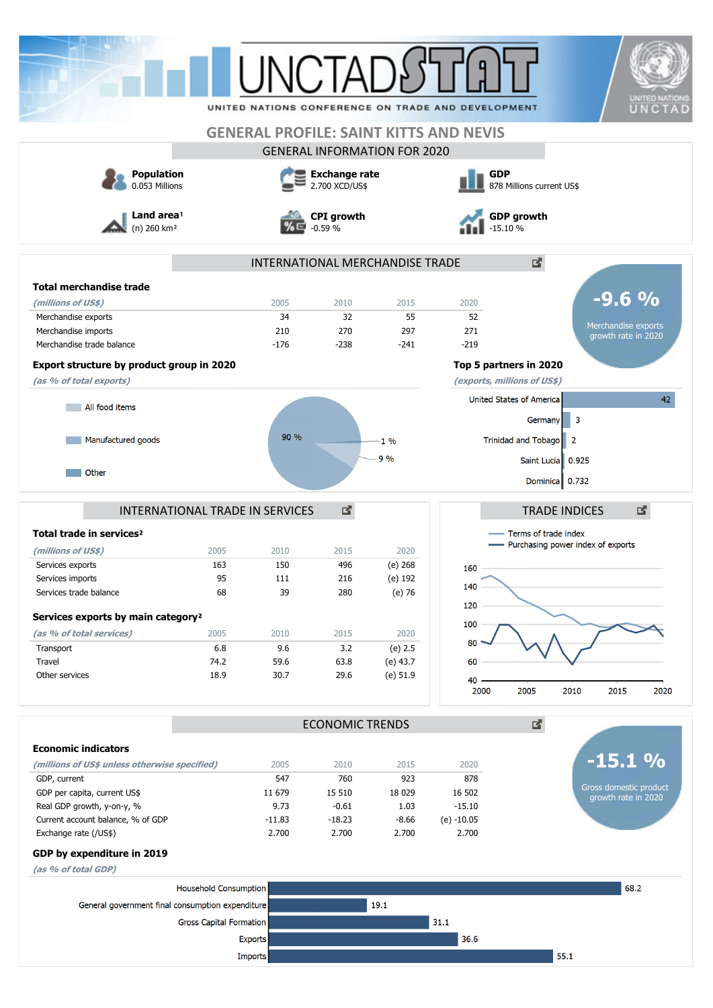|                                                                                                                                                                                                                                                     |                                                                                                  |                                                         | <b>INCTA</b>                                                  |                                                                                   | UNITED NATIONS CONFERENCE ON TRADE AND DEVELOPMENT<br><b>GENERAL PROFILE: SAINT KITTS AND NEVIS</b> | UNITED NATION:<br>UNCTAD                                                                                                      |
|-----------------------------------------------------------------------------------------------------------------------------------------------------------------------------------------------------------------------------------------------------|--------------------------------------------------------------------------------------------------|---------------------------------------------------------|---------------------------------------------------------------|-----------------------------------------------------------------------------------|-----------------------------------------------------------------------------------------------------|-------------------------------------------------------------------------------------------------------------------------------|
|                                                                                                                                                                                                                                                     |                                                                                                  |                                                         |                                                               | <b>GENERAL INFORMATION FOR 2020</b>                                               |                                                                                                     |                                                                                                                               |
| <b>Population</b><br>0.053 Millions                                                                                                                                                                                                                 |                                                                                                  |                                                         | <b>Exchange rate</b><br>2.700 XCD/US\$                        |                                                                                   | <b>GDP</b>                                                                                          | 878 Millions current US\$                                                                                                     |
| Land area!<br>$(n)$ 260 km <sup>2</sup>                                                                                                                                                                                                             |                                                                                                  |                                                         | <b>CPI</b> growth<br>$-0.59%$                                 |                                                                                   | $-15.10%$                                                                                           | <b>GDP</b> growth                                                                                                             |
|                                                                                                                                                                                                                                                     |                                                                                                  |                                                         |                                                               | INTERNATIONAL MERCHANDISE TRADE                                                   |                                                                                                     | ₫.                                                                                                                            |
| <b>Total merchandise trade</b>                                                                                                                                                                                                                      |                                                                                                  |                                                         |                                                               |                                                                                   |                                                                                                     |                                                                                                                               |
| (millions of US\$)                                                                                                                                                                                                                                  |                                                                                                  | 2005                                                    | 2010                                                          | 2015                                                                              | 2020                                                                                                | $-9.6%$                                                                                                                       |
| Merchandise exports                                                                                                                                                                                                                                 |                                                                                                  | 34                                                      | 32                                                            | 55                                                                                | 52                                                                                                  | Merchandise exports                                                                                                           |
| Merchandise imports<br>Merchandise trade balance                                                                                                                                                                                                    |                                                                                                  | 210<br>$-176$                                           | 270                                                           | 297                                                                               | 271                                                                                                 | growth rate in 2020                                                                                                           |
|                                                                                                                                                                                                                                                     |                                                                                                  |                                                         | $-238$                                                        | $-241$                                                                            | $-219$                                                                                              |                                                                                                                               |
| Export structure by product group in 2020                                                                                                                                                                                                           |                                                                                                  |                                                         |                                                               |                                                                                   | Top 5 partners in 2020                                                                              |                                                                                                                               |
| (as % of total exports)                                                                                                                                                                                                                             |                                                                                                  |                                                         |                                                               |                                                                                   | (exports, millions of US\$)                                                                         |                                                                                                                               |
| All food items                                                                                                                                                                                                                                      |                                                                                                  |                                                         |                                                               |                                                                                   |                                                                                                     | 42<br>United States of America                                                                                                |
|                                                                                                                                                                                                                                                     |                                                                                                  |                                                         |                                                               |                                                                                   |                                                                                                     | -3<br>Germany                                                                                                                 |
| Manufactured goods                                                                                                                                                                                                                                  |                                                                                                  | 90 %                                                    |                                                               | $-1\%$                                                                            |                                                                                                     | Trinidad and Tobago 2                                                                                                         |
|                                                                                                                                                                                                                                                     |                                                                                                  |                                                         |                                                               | $-9\%$                                                                            |                                                                                                     | Saint Lucia 0.925                                                                                                             |
| Other                                                                                                                                                                                                                                               |                                                                                                  |                                                         |                                                               |                                                                                   |                                                                                                     | Dominica 0.732                                                                                                                |
| Total trade in services <sup>2</sup><br>(millions of US\$)<br>Services exports<br>Services imports<br>Services trade balance<br>Services exports by main category <sup>2</sup><br>(as % of total services)<br>Transport<br>Travel<br>Other services | <b>INTERNATIONAL TRADE IN SERVICES</b><br>2005<br>163<br>95<br>68<br>2005<br>6.8<br>74.2<br>18.9 | 2010<br>150<br>111<br>39<br>2010<br>9.6<br>59.6<br>30.7 | 國<br>2015<br>496<br>216<br>280<br>2015<br>3.2<br>63.8<br>29.6 | 2020<br>$(e)$ 268<br>(e) 192<br>(e) 76<br>2020<br>(e) 2.5<br>(e) 43.7<br>(e) 51.9 | 160<br>140<br>120<br>100<br>80<br>60<br>40<br>2000                                                  | 図<br><b>TRADE INDICES</b><br>Terms of trade index<br>- Purchasing power index of exports<br>2005<br>2010<br>2015<br>2020<br>國 |
|                                                                                                                                                                                                                                                     |                                                                                                  |                                                         | <b>ECONOMIC TRENDS</b>                                        |                                                                                   |                                                                                                     |                                                                                                                               |
| <b>Economic indicators</b>                                                                                                                                                                                                                          |                                                                                                  |                                                         |                                                               |                                                                                   |                                                                                                     |                                                                                                                               |
| (millions of US\$ unless otherwise specified)                                                                                                                                                                                                       |                                                                                                  | 2005                                                    | 2010                                                          | 2015                                                                              | 2020                                                                                                | $\frac{0}{0}$<br>-15.1                                                                                                        |
| GDP, current                                                                                                                                                                                                                                        |                                                                                                  | 547                                                     | 760                                                           | 923                                                                               | 878                                                                                                 | Gross domestic product                                                                                                        |
| GDP per capita, current US\$<br>Real GDP growth, y-on-y, %                                                                                                                                                                                          |                                                                                                  | 11 679<br>9.73                                          | 15 510<br>$-0.61$                                             | 18 0 29<br>1.03                                                                   | 16 502<br>$-15.10$                                                                                  | growth rate in 2020                                                                                                           |
| Current account balance, % of GDP<br>Exchange rate (/US\$)                                                                                                                                                                                          |                                                                                                  | $-11.83$<br>2.700                                       | $-18.23$<br>2.700                                             | $-8.66$<br>2.700                                                                  | $(e) -10.05$<br>2.700                                                                               |                                                                                                                               |
| GDP by expenditure in 2019                                                                                                                                                                                                                          |                                                                                                  |                                                         |                                                               |                                                                                   |                                                                                                     |                                                                                                                               |
| (as % of total GDP)                                                                                                                                                                                                                                 |                                                                                                  |                                                         |                                                               |                                                                                   |                                                                                                     |                                                                                                                               |
|                                                                                                                                                                                                                                                     | Household Consumption                                                                            |                                                         |                                                               |                                                                                   |                                                                                                     | 68.2                                                                                                                          |
| General government final consumption expenditure                                                                                                                                                                                                    |                                                                                                  |                                                         |                                                               | 19.1                                                                              |                                                                                                     |                                                                                                                               |
|                                                                                                                                                                                                                                                     |                                                                                                  |                                                         |                                                               |                                                                                   |                                                                                                     |                                                                                                                               |
|                                                                                                                                                                                                                                                     | <b>Gross Capital Formation</b>                                                                   |                                                         |                                                               |                                                                                   | 31.1                                                                                                |                                                                                                                               |
|                                                                                                                                                                                                                                                     | <b>Exports</b>                                                                                   |                                                         |                                                               |                                                                                   | 36.6                                                                                                |                                                                                                                               |
|                                                                                                                                                                                                                                                     | <b>Imports</b>                                                                                   |                                                         |                                                               |                                                                                   |                                                                                                     | 55.1                                                                                                                          |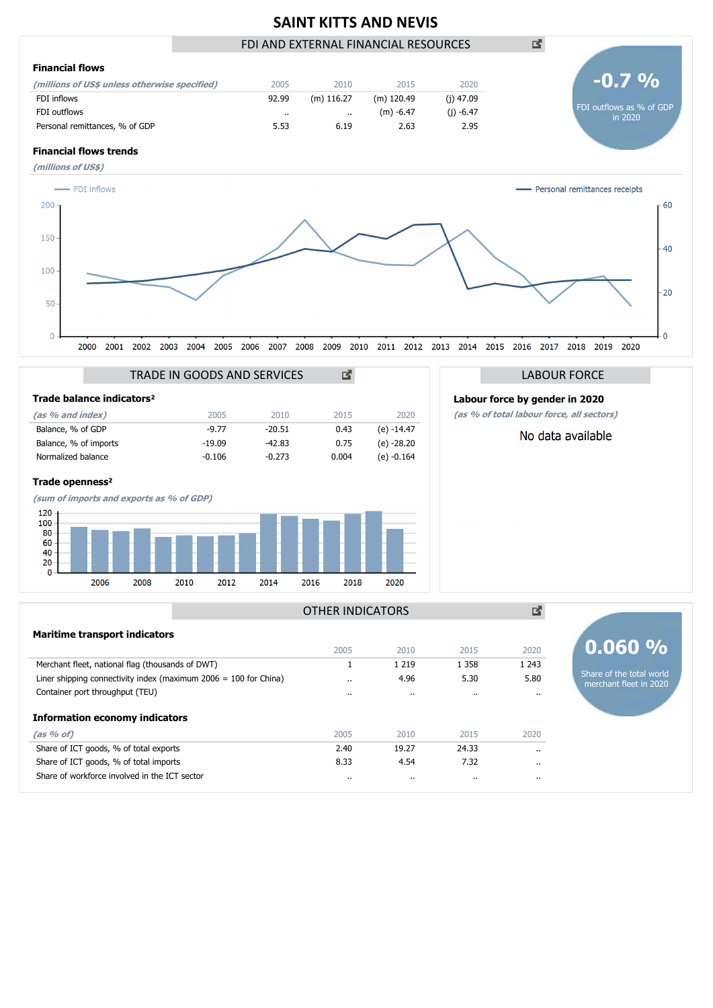## **SAINT KITTS AND NEVIS** FDI AND EXTERNAL FINANCIAL RESOURCES





|                       |                                       | TRADE IN GOODS AND SERVICES | гč       |       |              |
|-----------------------|---------------------------------------|-----------------------------|----------|-------|--------------|
|                       | Trade balance indicators <sup>2</sup> |                             |          |       |              |
| (as % and index)      |                                       | 2005                        | 2010     | 2015  | 2020         |
| Balance, % of GDP     |                                       | $-9.77$                     | $-20.51$ | 0.43  | $(e) -14.47$ |
| Balance, % of imports |                                       | $-19.09$                    | -42.83   | 0.75  | $(e) -28.20$ |
| Normalized balance    |                                       | $-0.106$                    | $-0.273$ | 0.004 | $(e) -0.164$ |
|                       |                                       |                             |          |       |              |

### **Trade openness**²



# LABOUR FORCE

**Labour force by gender in 2020**

**(as % of total labour force, all sectors)**

## No data available

|                                                                    | OTHER INDICATORS |           |                      |          |  |  |  |  |
|--------------------------------------------------------------------|------------------|-----------|----------------------|----------|--|--|--|--|
| <b>Maritime transport indicators</b>                               |                  |           |                      |          |  |  |  |  |
|                                                                    | 2005             | 2010      | 2015                 | 2020     |  |  |  |  |
| Merchant fleet, national flag (thousands of DWT)                   |                  | 1 2 1 9   | 1 3 5 8              | 1 2 4 3  |  |  |  |  |
| Liner shipping connectivity index (maximum $2006 = 100$ for China) |                  | 4.96      | 5.30                 | 5.80     |  |  |  |  |
| Container port throughput (TEU)                                    |                  | $\cdot$ . | $\ddot{\phantom{a}}$ | $\cdots$ |  |  |  |  |
| Information economy indicators                                     |                  |           |                      |          |  |  |  |  |
| (as 96 of)                                                         | 2005             | 2010      | 2015                 | 2020     |  |  |  |  |
| Share of ICT goods, % of total exports                             | 2.40             | 19.27     | 24.33                | $\cdots$ |  |  |  |  |
| Share of ICT goods, % of total imports                             | 8.33             | 4.54      | 7.32                 | $\cdots$ |  |  |  |  |
| Share of workforce involved in the ICT sector                      |                  | $\cdot$   |                      | $\cdots$ |  |  |  |  |
|                                                                    |                  |           |                      |          |  |  |  |  |

# **0.060 %**

Share of the total world merchant fleet in 2020